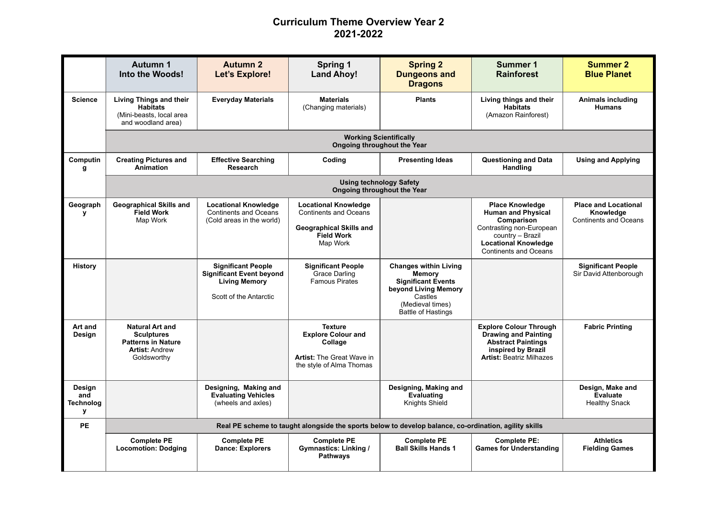## **Curriculum Theme Overview Year 2 2021-2022**

|                                                   | Autumn 1<br>Into the Woods!                                                                                      | <b>Autumn 2</b><br>Let's Explore!                                                                              | <b>Spring 1</b><br><b>Land Ahoy!</b>                                                                                           | <b>Spring 2</b><br><b>Dungeons and</b><br><b>Dragons</b>                                                                                                | Summer 1<br><b>Rainforest</b>                                                                                                                                                    | <b>Summer 2</b><br><b>Blue Planet</b>                                    |  |  |  |  |
|---------------------------------------------------|------------------------------------------------------------------------------------------------------------------|----------------------------------------------------------------------------------------------------------------|--------------------------------------------------------------------------------------------------------------------------------|---------------------------------------------------------------------------------------------------------------------------------------------------------|----------------------------------------------------------------------------------------------------------------------------------------------------------------------------------|--------------------------------------------------------------------------|--|--|--|--|
| <b>Science</b>                                    | <b>Living Things and their</b><br><b>Habitats</b><br>(Mini-beasts, local area<br>and woodland area)              | <b>Everyday Materials</b>                                                                                      | <b>Materials</b><br>(Changing materials)                                                                                       | <b>Plants</b>                                                                                                                                           | Living things and their<br><b>Habitats</b><br>(Amazon Rainforest)                                                                                                                | <b>Animals including</b><br><b>Humans</b>                                |  |  |  |  |
|                                                   | <b>Working Scientifically</b><br><b>Ongoing throughout the Year</b>                                              |                                                                                                                |                                                                                                                                |                                                                                                                                                         |                                                                                                                                                                                  |                                                                          |  |  |  |  |
| Computin<br>g                                     | <b>Creating Pictures and</b><br><b>Animation</b>                                                                 | <b>Effective Searching</b><br><b>Research</b>                                                                  | Coding                                                                                                                         | <b>Presenting Ideas</b>                                                                                                                                 | <b>Questioning and Data</b><br>Handling                                                                                                                                          | <b>Using and Applying</b>                                                |  |  |  |  |
|                                                   | <b>Using technology Safety</b><br>Ongoing throughout the Year                                                    |                                                                                                                |                                                                                                                                |                                                                                                                                                         |                                                                                                                                                                                  |                                                                          |  |  |  |  |
| Geograph<br>v                                     | <b>Geographical Skills and</b><br><b>Field Work</b><br>Map Work                                                  | <b>Locational Knowledge</b><br><b>Continents and Oceans</b><br>(Cold areas in the world)                       | <b>Locational Knowledge</b><br><b>Continents and Oceans</b><br><b>Geographical Skills and</b><br><b>Field Work</b><br>Map Work |                                                                                                                                                         | <b>Place Knowledge</b><br><b>Human and Physical</b><br>Comparison<br>Contrasting non-European<br>country - Brazil<br><b>Locational Knowledge</b><br><b>Continents and Oceans</b> | <b>Place and Locational</b><br>Knowledge<br><b>Continents and Oceans</b> |  |  |  |  |
| <b>History</b>                                    |                                                                                                                  | <b>Significant People</b><br><b>Significant Event beyond</b><br><b>Living Memory</b><br>Scott of the Antarctic | <b>Significant People</b><br>Grace Darling<br><b>Famous Pirates</b>                                                            | <b>Changes within Living</b><br><b>Memory</b><br><b>Significant Events</b><br>beyond Living Memory<br>Castles<br>(Medieval times)<br>Battle of Hastings |                                                                                                                                                                                  | <b>Significant People</b><br>Sir David Attenborough                      |  |  |  |  |
| Art and<br>Design                                 | <b>Natural Art and</b><br><b>Sculptures</b><br><b>Patterns in Nature</b><br><b>Artist: Andrew</b><br>Goldsworthy |                                                                                                                | <b>Texture</b><br><b>Explore Colour and</b><br>Collage<br><b>Artist: The Great Wave in</b><br>the style of Alma Thomas         |                                                                                                                                                         | <b>Explore Colour Through</b><br><b>Drawing and Painting</b><br><b>Abstract Paintings</b><br>inspired by Brazil<br><b>Artist: Beatriz Milhazes</b>                               | <b>Fabric Printing</b>                                                   |  |  |  |  |
| Design<br>and<br><b>Technolog</b><br>$\mathbf{v}$ |                                                                                                                  | Designing, Making and<br><b>Evaluating Vehicles</b><br>(wheels and axles)                                      |                                                                                                                                | Designing, Making and<br><b>Evaluating</b><br>Knights Shield                                                                                            |                                                                                                                                                                                  | Design, Make and<br>Evaluate<br><b>Healthy Snack</b>                     |  |  |  |  |
| <b>PE</b>                                         | Real PE scheme to taught alongside the sports below to develop balance, co-ordination, agility skills            |                                                                                                                |                                                                                                                                |                                                                                                                                                         |                                                                                                                                                                                  |                                                                          |  |  |  |  |
|                                                   | <b>Complete PE</b><br><b>Locomotion: Dodging</b>                                                                 | <b>Complete PE</b><br><b>Dance: Explorers</b>                                                                  | <b>Complete PE</b><br>Gymnastics: Linking /<br><b>Pathways</b>                                                                 | <b>Complete PE</b><br><b>Ball Skills Hands 1</b>                                                                                                        | <b>Complete PE:</b><br><b>Games for Understanding</b>                                                                                                                            | <b>Athletics</b><br><b>Fielding Games</b>                                |  |  |  |  |